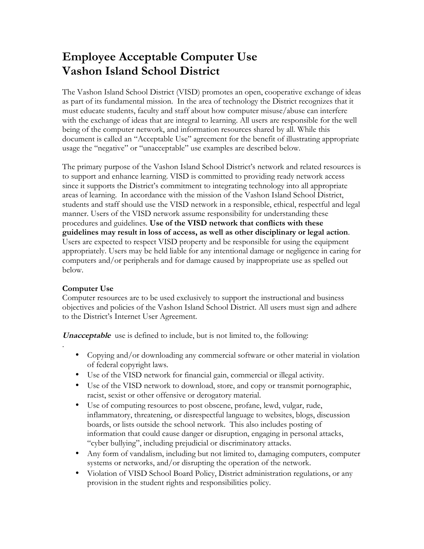# **Employee Acceptable Computer Use Vashon Island School District**

The Vashon Island School District (VISD) promotes an open, cooperative exchange of ideas as part of its fundamental mission. In the area of technology the District recognizes that it must educate students, faculty and staff about how computer misuse/abuse can interfere with the exchange of ideas that are integral to learning. All users are responsible for the well being of the computer network, and information resources shared by all. While this document is called an "Acceptable Use" agreement for the benefit of illustrating appropriate usage the "negative" or "unacceptable" use examples are described below.

The primary purpose of the Vashon Island School District's network and related resources is to support and enhance learning. VISD is committed to providing ready network access since it supports the District's commitment to integrating technology into all appropriate areas of learning. In accordance with the mission of the Vashon Island School District, students and staff should use the VISD network in a responsible, ethical, respectful and legal manner. Users of the VISD network assume responsibility for understanding these procedures and guidelines. **Use of the VISD network that conflicts with these guidelines may result in loss of access, as well as other disciplinary or legal action**. Users are expected to respect VISD property and be responsible for using the equipment appropriately. Users may be held liable for any intentional damage or negligence in caring for computers and/or peripherals and for damage caused by inappropriate use as spelled out below.

## **Computer Use**

.

Computer resources are to be used exclusively to support the instructional and business objectives and policies of the Vashon Island School District. All users must sign and adhere to the District's Internet User Agreement.

**Unacceptable** use is defined to include, but is not limited to, the following:

- Copying and/or downloading any commercial software or other material in violation of federal copyright laws.
- Use of the VISD network for financial gain, commercial or illegal activity.
- Use of the VISD network to download, store, and copy or transmit pornographic, racist, sexist or other offensive or derogatory material.
- Use of computing resources to post obscene, profane, lewd, vulgar, rude, inflammatory, threatening, or disrespectful language to websites, blogs, discussion boards, or lists outside the school network. This also includes posting of information that could cause danger or disruption, engaging in personal attacks, "cyber bullying", including prejudicial or discriminatory attacks.
- Any form of vandalism, including but not limited to, damaging computers, computer systems or networks, and/or disrupting the operation of the network.
- Violation of VISD School Board Policy, District administration regulations, or any provision in the student rights and responsibilities policy.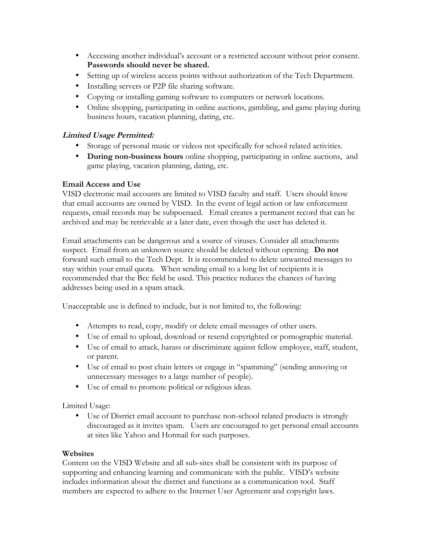- Accessing another individual's account or a restricted account without prior consent. **Passwords should never be shared.**
- Setting up of wireless access points without authorization of the Tech Department.
- Installing servers or P2P file sharing software.
- Copying or installing gaming software to computers or network locations.
- Online shopping, participating in online auctions, gambling, and game playing during business hours, vacation planning, dating, etc.

### **Limited Usage Permitted:**

- Storage of personal music or videos not specifically for school related activities.
- **During non-business hours** online shopping, participating in online auctions, and game playing, vacation planning, dating, etc.

#### **Email Access and Use**

VISD electronic mail accounts are limited to VISD faculty and staff. Users should know that email accounts are owned by VISD. In the event of legal action or law enforcement requests, email records may be subpoenaed. Email creates a permanent record that can be archived and may be retrievable at a later date, even though the user has deleted it.

Email attachments can be dangerous and a source of viruses. Consider all attachments suspect. Email from an unknown source should be deleted without opening. **Do not** forward such email to the Tech Dept. It is recommended to delete unwanted messages to stay within your email quota. When sending email to a long list of recipients it is recommended that the Bcc field be used. This practice reduces the chances of having addresses being used in a spam attack.

Unacceptable use is defined to include, but is not limited to, the following:

- Attempts to read, copy, modify or delete email messages of other users.
- Use of email to upload, download or resend copyrighted or pornographic material.
- Use of email to attack, harass or discriminate against fellow employee, staff, student, or parent.
- Use of email to post chain letters or engage in "spamming" (sending annoying or unnecessary messages to a large number of people).
- Use of email to promote political or religious ideas.

Limited Usage:

• Use of District email account to purchase non-school related products is strongly discouraged as it invites spam. Users are encouraged to get personal email accounts at sites like Yahoo and Hotmail for such purposes.

#### **Websites**

Content on the VISD Website and all sub-sites shall be consistent with its purpose of supporting and enhancing learning and communicate with the public. VISD's website includes information about the district and functions as a communication tool. Staff members are expected to adhere to the Internet User Agreement and copyright laws.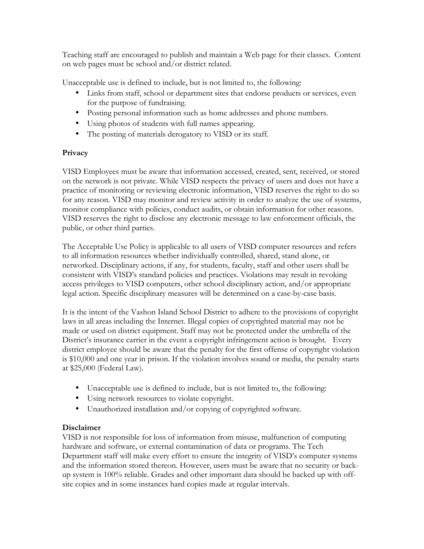Teaching staff are encouraged to publish and maintain a Web page for their classes. Content on web pages must be school and/or district related.

Unacceptable use is defined to include, but is not limited to, the following:

- Links from staff, school or department sites that endorse products or services, even for the purpose of fundraising.
- Posting personal information such as home addresses and phone numbers.
- Using photos of students with full names appearing.
- The posting of materials derogatory to VISD or its staff.

## **Privacy**

VISD Employees must be aware that information accessed, created, sent, received, or stored on the network is not private. While VISD respects the privacy of users and does not have a practice of monitoring or reviewing electronic information, VISD reserves the right to do so for any reason. VISD may monitor and review activity in order to analyze the use of systems, monitor compliance with policies, conduct audits, or obtain information for other reasons. VISD reserves the right to disclose any electronic message to law enforcement officials, the public, or other third parties.

The Acceptable Use Policy is applicable to all users of VISD computer resources and refers to all information resources whether individually controlled, shared, stand alone, or networked. Disciplinary actions, if any, for students, faculty, staff and other users shall be consistent with VISD's standard policies and practices. Violations may result in revoking access privileges to VISD computers, other school disciplinary action, and/or appropriate legal action. Specific disciplinary measures will be determined on a case-by-case basis.

It is the intent of the Vashon Island School District to adhere to the provisions of copyright laws in all areas including the Internet. Illegal copies of copyrighted material may not be made or used on district equipment. Staff may not be protected under the umbrella of the District's insurance carrier in the event a copyright infringement action is brought. Every district employee should be aware that the penalty for the first offense of copyright violation is \$10,000 and one year in prison. If the violation involves sound or media, the penalty starts at \$25,000 (Federal Law).

- Unacceptable use is defined to include, but is not limited to, the following:
- Using network resources to violate copyright.
- Unauthorized installation and/or copying of copyrighted software.

## **Disclaimer**

VISD is not responsible for loss of information from misuse, malfunction of computing hardware and software, or external contamination of data or programs. The Tech Department staff will make every effort to ensure the integrity of VISD's computer systems and the information stored thereon. However, users must be aware that no security or backup system is 100% reliable. Grades and other important data should be backed up with offsite copies and in some instances hard copies made at regular intervals.